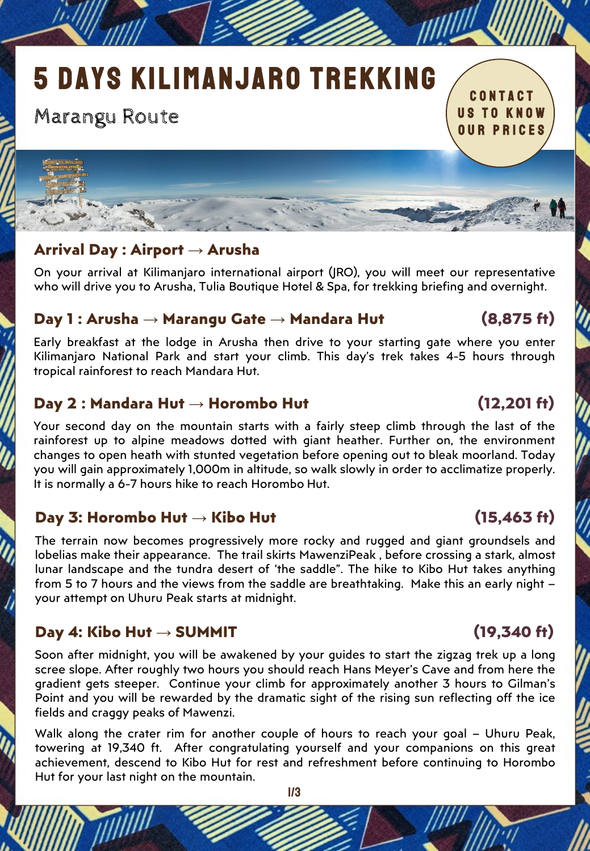# 5 DAYS KILIMANJARO TREKKING

# Marangu Route

CONTACT US to know Our PRICES

# **Arrival Day : Airport → Arusha**

On your arrival at Kilimanjaro international airport (JRO), you will meet our representative who will drive you to Arusha, Tulia Boutique Hotel & Spa, for trekking briefing and overnight.

## **Day 1 : Arusha → Marangu Gate → Mandara Hut (8,875 ft)**

Early breakfast at the lodge in Arusha then drive to your starting gate where you enter Kilimanjaro National Park and start your climb. This day's trek takes 4-5 hours through tropical rainforest to reach Mandara Hut.

## **Day 2 : Mandara Hut → Horombo Hut (12,201 ft)**

Your second day on the mountain starts with a fairly steep climb through the last of the rainforest up to alpine meadows dotted with giant heather. Further on, the environment changes to open heath with stunted vegetation before opening out to bleak moorland. Today you will gain approximately 1,000m in altitude, so walk slowly in order to acclimatize properly. It is normally a 6-7 hours hike to reach Horombo Hut.

## **Day 3: Horombo Hut → Kibo Hut (15,463 ft)**

The terrain now becomes progressively more rocky and rugged and giant groundsels and lobelias make their appearance. The trail skirts MawenziPeak , before crossing a stark, almost lunar landscape and the tundra desert of 'the saddle". The hike to Kibo Hut takes anything from 5 to 7 hours and the views from the saddle are breathtaking. Make this an early night – your attempt on Uhuru Peak starts at midnight.

## **Day 4: Kibo Hut → SUMMIT (19,340 ft)**

Soon after midnight, you will be awakened by your guides to start the zigzag trek up a long scree slope. After roughly two hours you should reach Hans Meyer's Cave and from here the gradient gets steeper. Continue your climb for approximately another 3 hours to Gilman's Point and you will be rewarded by the dramatic sight of the rising sun reflecting off the ice fields and craggy peaks of Mawenzi.

Walk along the crater rim for another couple of hours to reach your goal – Uhuru Peak, towering at 19,340 ft. After congratulating yourself and your companions on this great achievement, descend to Kibo Hut for rest and refreshment before continuing to Horombo Hut for your last night on the mountain.

1/3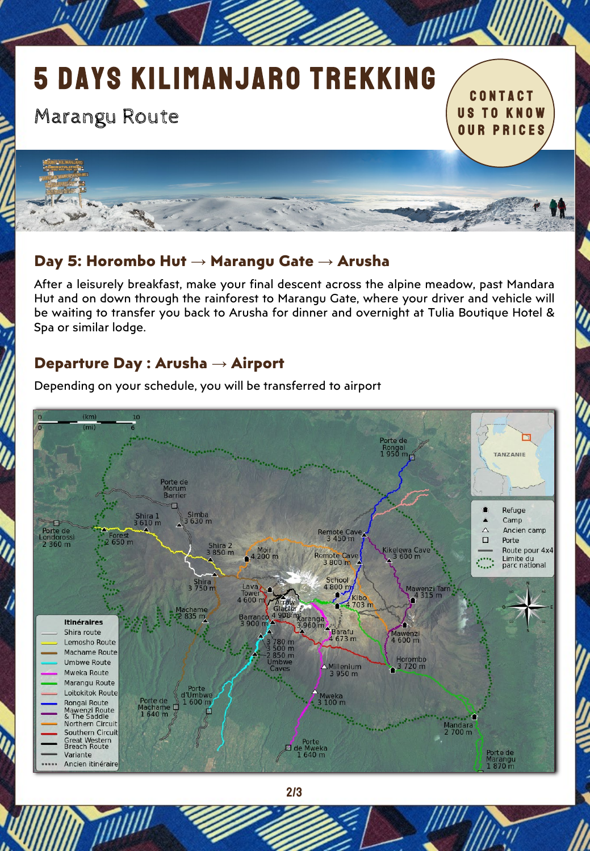# 5 DAYS KILIMANJARO TREKKING

# Marangu Route

1

CONTACT US to know Our PRICES

# **Day 5: Horombo Hut → Marangu Gate → Arusha**

After a leisurely breakfast, make your final descent across the alpine meadow, past Mandara Hut and on down through the rainforest to Marangu Gate, where your driver and vehicle will be waiting to transfer you back to Arusha for dinner and overnight at Tulia Boutique Hotel & Spa or similar lodge.

Japan.

# **Departure Day : Arusha → Airport**



Depending on your schedule, you will be transferred to airport